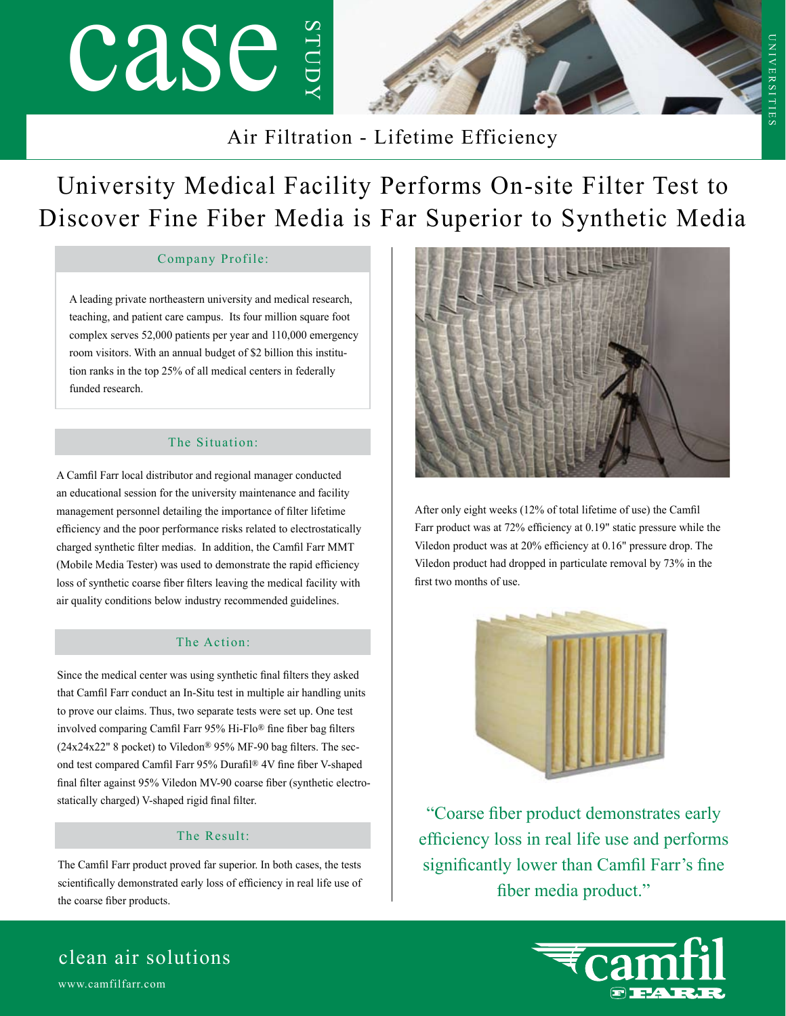# case study



 $\subset$ 

niversities

NIVERSITII

### Air Filtration - Lifetime Efficiency

## University Medical Facility Performs On-site Filter Test to Discover Fine Fiber Media is Far Superior to Synthetic Media

#### Company Profile:

A leading private northeastern university and medical research, teaching, and patient care campus. Its four million square foot complex serves 52,000 patients per year and 110,000 emergency room visitors. With an annual budget of \$2 billion this institution ranks in the top 25% of all medical centers in federally funded research.

#### The Situation:

A Camfil Farr local distributor and regional manager conducted an educational session for the university maintenance and facility management personnel detailing the importance of filter lifetime efficiency and the poor performance risks related to electrostatically charged synthetic filter medias. In addition, the Camfil Farr MMT (Mobile Media Tester) was used to demonstrate the rapid efficiency loss of synthetic coarse fiber filters leaving the medical facility with air quality conditions below industry recommended guidelines.

#### The Action:

Since the medical center was using synthetic final filters they asked that Camfil Farr conduct an In-Situ test in multiple air handling units to prove our claims. Thus, two separate tests were set up. One test involved comparing Camfil Farr 95% Hi-Flo® fine fiber bag filters  $(24x24x22"$  8 pocket) to Viledon<sup>®</sup> 95% MF-90 bag filters. The second test compared Camfil Farr 95% Durafil® 4V fine fiber V-shaped final filter against 95% Viledon MV-90 coarse fiber (synthetic electrostatically charged) V-shaped rigid final filter.

#### The Result:

The Camfil Farr product proved far superior. In both cases, the tests scientifically demonstrated early loss of efficiency in real life use of the coarse fiber products.



After only eight weeks (12% of total lifetime of use) the Camfil Farr product was at 72% efficiency at 0.19" static pressure while the Viledon product was at 20% efficiency at 0.16" pressure drop. The Viledon product had dropped in particulate removal by 73% in the first two months of use.



"Coarse fiber product demonstrates early efficiency loss in real life use and performs significantly lower than Camfil Farr's fine fiber media product."



### www.camfilfarr.com clean air solutions